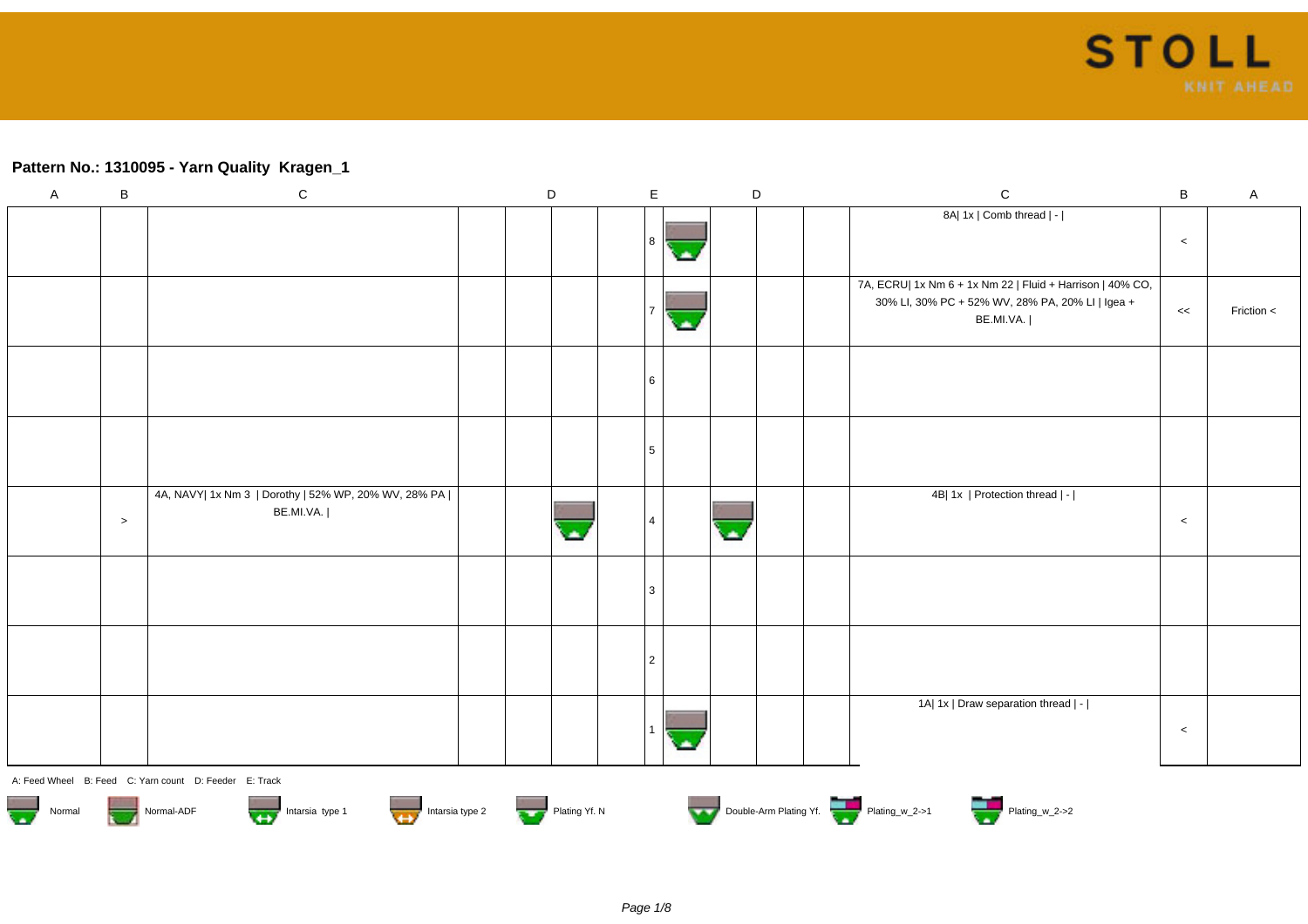## **Pattern No.: 1310095 - Yarn Quality Kragen\_1**

| $\boldsymbol{\mathsf{A}}$ | $\sf B$                                                                                                                                                                                                                        | ${\bf C}$                                                           |  | D |  | $\mathsf E$    |  |  | $\mathsf D$ |  | $\mathsf C$                                                                                                                | B       | $\mathsf A$    |
|---------------------------|--------------------------------------------------------------------------------------------------------------------------------------------------------------------------------------------------------------------------------|---------------------------------------------------------------------|--|---|--|----------------|--|--|-------------|--|----------------------------------------------------------------------------------------------------------------------------|---------|----------------|
|                           |                                                                                                                                                                                                                                |                                                                     |  |   |  |                |  |  |             |  | 8A  1x   Comb thread   -                                                                                                   | $\,<$   |                |
|                           |                                                                                                                                                                                                                                |                                                                     |  |   |  |                |  |  |             |  | 7A, ECRU  1x Nm 6 + 1x Nm 22   Fluid + Harrison   40% CO,<br>30% LI, 30% PC + 52% WV, 28% PA, 20% LI   Igea +<br>BE.MI.VA. | <<      | Friction $\lt$ |
|                           |                                                                                                                                                                                                                                |                                                                     |  |   |  | l 6            |  |  |             |  |                                                                                                                            |         |                |
|                           |                                                                                                                                                                                                                                |                                                                     |  |   |  | 5              |  |  |             |  |                                                                                                                            |         |                |
|                           | $\,>$                                                                                                                                                                                                                          | 4A, NAVY  1x Nm 3   Dorothy   52% WP, 20% WV, 28% PA  <br>BE.MI.VA. |  |   |  |                |  |  |             |  | 4B  1x   Protection thread   -                                                                                             | $\prec$ |                |
|                           |                                                                                                                                                                                                                                |                                                                     |  |   |  | <sup>3</sup>   |  |  |             |  |                                                                                                                            |         |                |
|                           |                                                                                                                                                                                                                                |                                                                     |  |   |  | $\overline{2}$ |  |  |             |  |                                                                                                                            |         |                |
|                           |                                                                                                                                                                                                                                |                                                                     |  |   |  |                |  |  |             |  | 1A  1x   Draw separation thread   -                                                                                        | $\prec$ |                |
|                           |                                                                                                                                                                                                                                | A: Feed Wheel B: Feed C: Yarn count D: Feeder E: Track              |  |   |  |                |  |  |             |  |                                                                                                                            |         |                |
|                           | Normal ADF Normal-ADF Intersia type 1 Intersia type 2 Intersia type 2 Intersia type 2 Intersia type 2 Intersia type 2 Intersia type 2 Intersia type 2 Intersia type 2 Intersia type 2 Intersia type 2 Intersia type 2 Intersia |                                                                     |  |   |  |                |  |  |             |  |                                                                                                                            |         |                |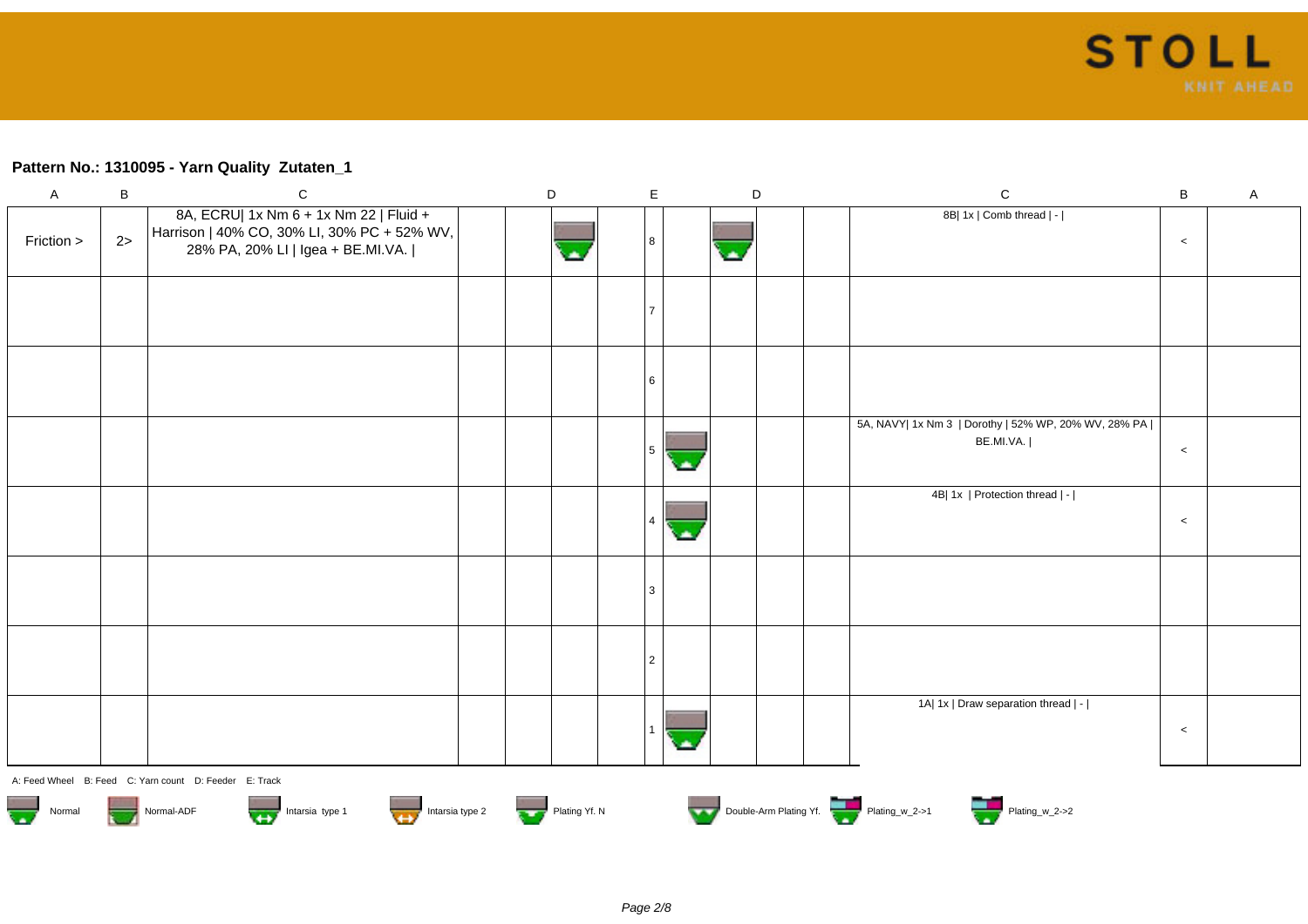## **Pattern No.: 1310095 - Yarn Quality Zutaten\_1**

| A                                                                                                                                                                                                                                                                        | B  | C                                                                                                                          |  | D |  | E.             |  |    | D | C                                                                   | B     | A |
|--------------------------------------------------------------------------------------------------------------------------------------------------------------------------------------------------------------------------------------------------------------------------|----|----------------------------------------------------------------------------------------------------------------------------|--|---|--|----------------|--|----|---|---------------------------------------------------------------------|-------|---|
| Friction >                                                                                                                                                                                                                                                               | 2> | 8A, ECRU  1x Nm 6 + 1x Nm 22   Fluid +<br>Harrison   40% CO, 30% LI, 30% PC + 52% WV,<br>28% PA, 20% LI   Igea + BE.MI.VA. |  |   |  | 8              |  | G. |   | 8B  1x   Comb thread   -                                            | $\,<$ |   |
|                                                                                                                                                                                                                                                                          |    |                                                                                                                            |  |   |  | $\overline{7}$ |  |    |   |                                                                     |       |   |
|                                                                                                                                                                                                                                                                          |    |                                                                                                                            |  |   |  | 6              |  |    |   |                                                                     |       |   |
|                                                                                                                                                                                                                                                                          |    |                                                                                                                            |  |   |  | 5 <sup>5</sup> |  |    |   | 5A, NAVY  1x Nm 3   Dorothy   52% WP, 20% WV, 28% PA  <br>BE.MI.VA. | $\,<$ |   |
|                                                                                                                                                                                                                                                                          |    |                                                                                                                            |  |   |  |                |  |    |   | 4B  1x   Protection thread   -                                      | $\,<$ |   |
|                                                                                                                                                                                                                                                                          |    |                                                                                                                            |  |   |  | 3              |  |    |   |                                                                     |       |   |
|                                                                                                                                                                                                                                                                          |    |                                                                                                                            |  |   |  | $\overline{2}$ |  |    |   |                                                                     |       |   |
|                                                                                                                                                                                                                                                                          |    |                                                                                                                            |  |   |  |                |  |    |   | 1A  1x   Draw separation thread   -                                 | $\,<$ |   |
| A: Feed Wheel B: Feed C: Yarn count D: Feeder E: Track<br>Normal Normal-ADF Normal-ADF Intarsia type 1 Intarsia type 2 Intarsia type 2 Plating Yf. N<br>Plating Windows Double-Arm Plating Yf. N<br>Double-Arm Plating Windows Plating Windows 2->1 Plating Windows 2->2 |    |                                                                                                                            |  |   |  |                |  |    |   |                                                                     |       |   |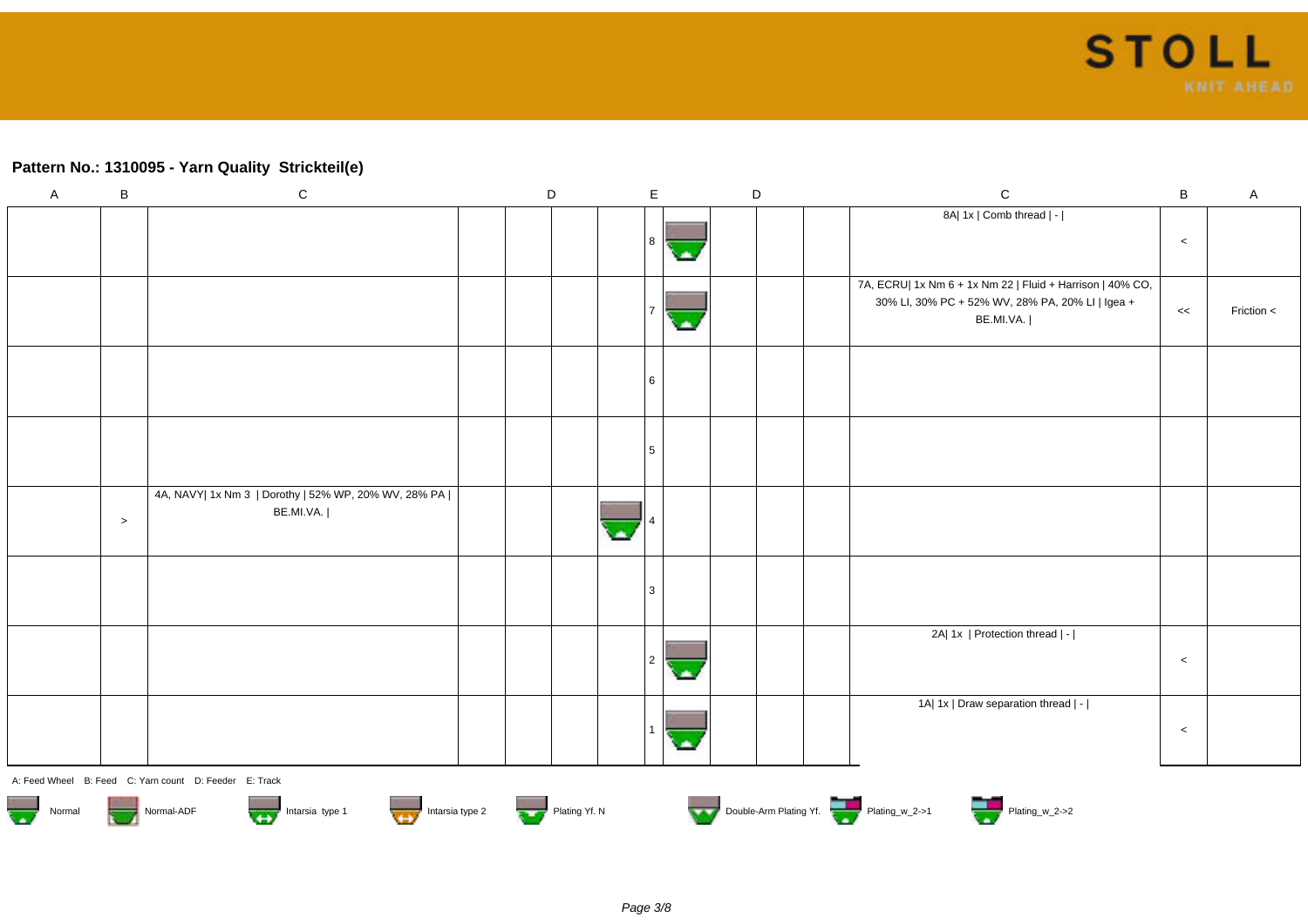# **Pattern No.: 1310095 - Yarn Quality Strickteil(e)**

| $\mathsf A$ | B                                                                                         | ${\bf C}$                                                           |  | D |   | $\mathsf E$ | D |  | $\mathbf C$                                                                                                                | $\sf B$ | A            |
|-------------|-------------------------------------------------------------------------------------------|---------------------------------------------------------------------|--|---|---|-------------|---|--|----------------------------------------------------------------------------------------------------------------------------|---------|--------------|
|             |                                                                                           |                                                                     |  |   |   | 8           |   |  | 8A  1x   Comb thread   -                                                                                                   | $\,<\,$ |              |
|             |                                                                                           |                                                                     |  |   |   | a,          |   |  | 7A, ECRU  1x Nm 6 + 1x Nm 22   Fluid + Harrison   40% CO,<br>30% LI, 30% PC + 52% WV, 28% PA, 20% LI   Igea +<br>BE.MI.VA. | <<      | Friction $<$ |
|             |                                                                                           |                                                                     |  |   |   | -6          |   |  |                                                                                                                            |         |              |
|             |                                                                                           |                                                                     |  |   |   |             |   |  |                                                                                                                            |         |              |
|             | $\,>$                                                                                     | 4A, NAVY  1x Nm 3   Dorothy   52% WP, 20% WV, 28% PA  <br>BE.MI.VA. |  |   | ٠ |             |   |  |                                                                                                                            |         |              |
|             |                                                                                           |                                                                     |  |   |   | Ι3          |   |  |                                                                                                                            |         |              |
|             |                                                                                           |                                                                     |  |   |   |             |   |  | 2A  1x   Protection thread   -                                                                                             | $\,<\,$ |              |
|             |                                                                                           |                                                                     |  |   |   |             |   |  | 1A  1x   Draw separation thread   -                                                                                        | $\,<$   |              |
|             |                                                                                           | A: Feed Wheel B: Feed C: Yarn count D: Feeder E: Track              |  |   |   |             |   |  |                                                                                                                            |         |              |
|             | Double-Arm Plating Yf.<br>Normal Normal-ADF Intarsia type 1 Intarsia type 2 Plating Yf. N |                                                                     |  |   |   |             |   |  |                                                                                                                            |         |              |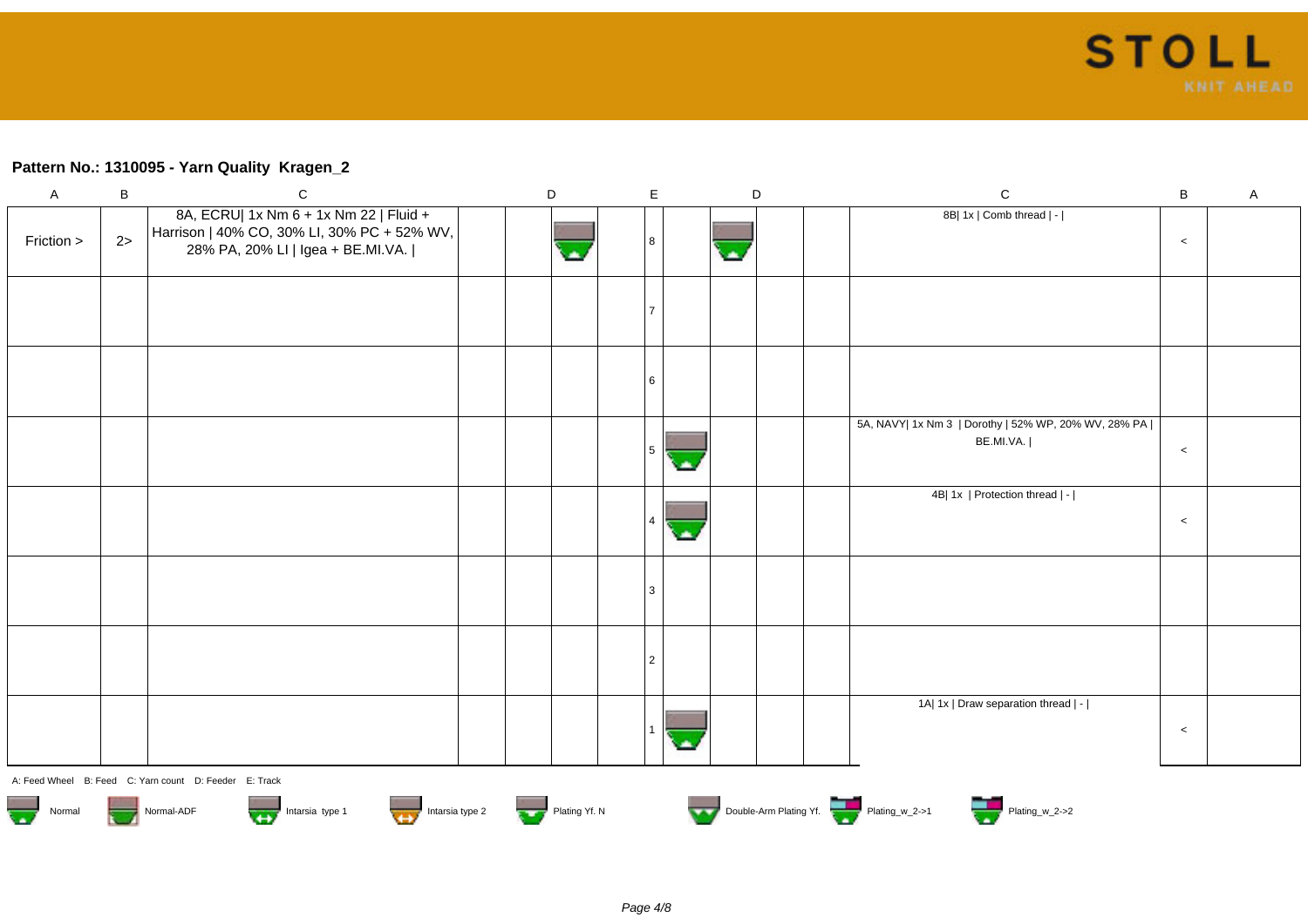## **Pattern No.: 1310095 - Yarn Quality Kragen\_2**

| $\mathsf{A}$                                                                              | В  | $\mathsf{C}$                                                                                                               | D | E              | D   |  | $\mathbf C$                                                         | В       | $\mathsf{A}$ |
|-------------------------------------------------------------------------------------------|----|----------------------------------------------------------------------------------------------------------------------------|---|----------------|-----|--|---------------------------------------------------------------------|---------|--------------|
| Friction >                                                                                | 2> | 8A, ECRU  1x Nm 6 + 1x Nm 22   Fluid +<br>Harrison   40% CO, 30% LI, 30% PC + 52% WV,<br>28% PA, 20% LI   Igea + BE.MI.VA. |   | 8              | CA. |  | 8B  1x   Comb thread   -                                            | $\,<$   |              |
|                                                                                           |    |                                                                                                                            |   |                |     |  |                                                                     |         |              |
|                                                                                           |    |                                                                                                                            |   | 6              |     |  |                                                                     |         |              |
|                                                                                           |    |                                                                                                                            |   | 5.             |     |  | 5A, NAVY  1x Nm 3   Dorothy   52% WP, 20% WV, 28% PA  <br>BE.MI.VA. | $\,<$   |              |
|                                                                                           |    |                                                                                                                            |   |                |     |  | 4B  1x   Protection thread   -                                      | $\,<\,$ |              |
|                                                                                           |    |                                                                                                                            |   | 3              |     |  |                                                                     |         |              |
|                                                                                           |    |                                                                                                                            |   | $\overline{2}$ |     |  |                                                                     |         |              |
|                                                                                           |    |                                                                                                                            |   |                |     |  | 1A  1x   Draw separation thread   -                                 | $\,<$   |              |
|                                                                                           |    | A: Feed Wheel B: Feed C: Yarn count D: Feeder E: Track                                                                     |   |                |     |  |                                                                     |         |              |
| Double-Arm Plating Yf.<br>Normal Normal-ADF Intarsia type 1 Intarsia type 2 Thating Yf. N |    |                                                                                                                            |   |                |     |  |                                                                     |         |              |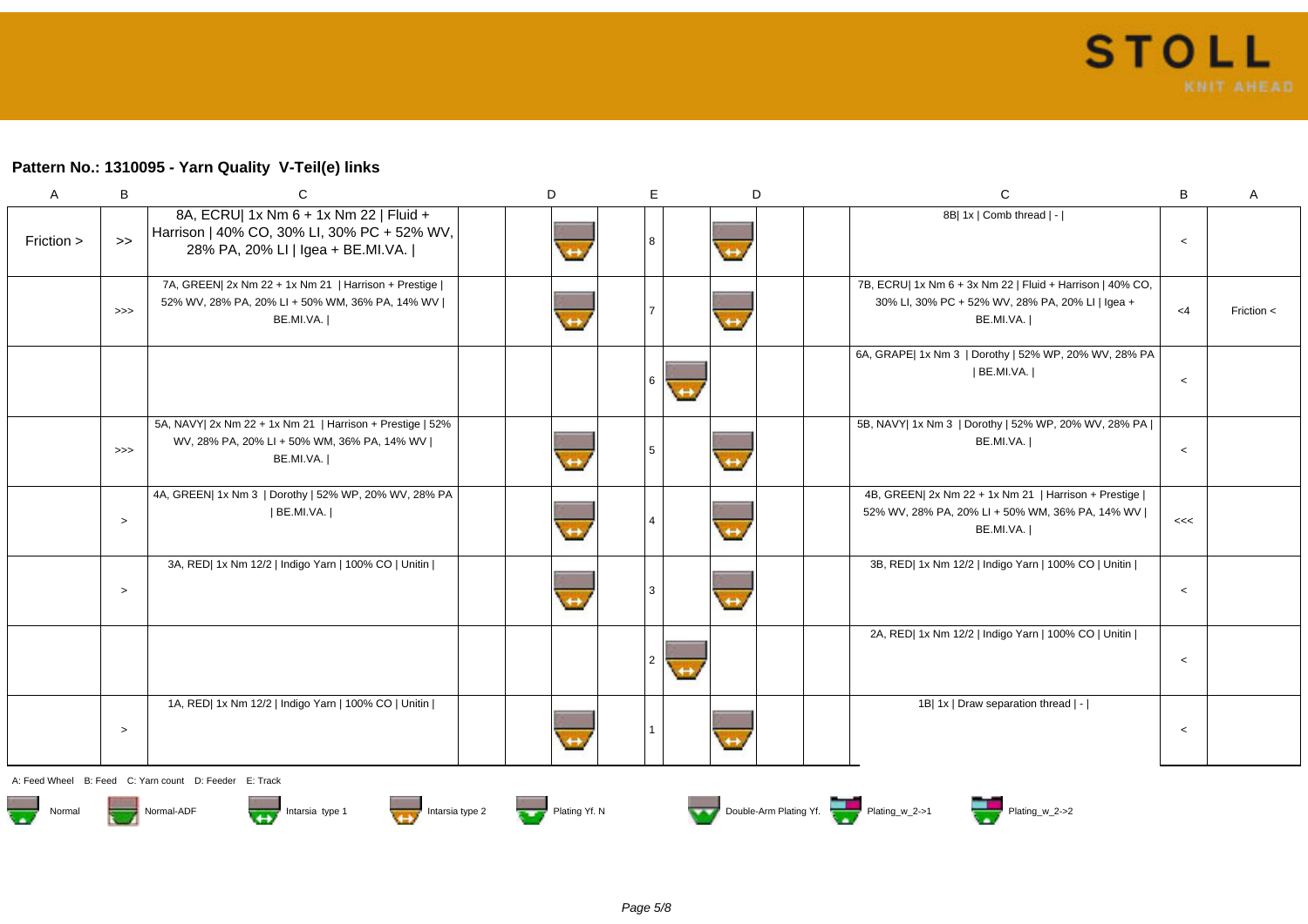# **Pattern No.: 1310095 - Yarn Quality V-Teil(e) links**

| $\mathsf{A}$  | B      | C                                                                                                                          | D             | E               | D                 | $\mathbf C$                                                                                                                | B       | A          |
|---------------|--------|----------------------------------------------------------------------------------------------------------------------------|---------------|-----------------|-------------------|----------------------------------------------------------------------------------------------------------------------------|---------|------------|
| Friction >    | $\gt$  | 8A, ECRU  1x Nm 6 + 1x Nm 22   Fluid +<br>Harrison   40% CO, 30% LI, 30% PC + 52% WV,<br>28% PA, 20% LI   Igea + BE.MI.VA. |               | 8               | $\leftrightarrow$ | 8B  1x   Comb thread   -                                                                                                   | $\,<$   |            |
|               | >>     | 7A, GREEN  2x Nm 22 + 1x Nm 21   Harrison + Prestige  <br>52% WV, 28% PA, 20% LI + 50% WM, 36% PA, 14% WV  <br>BE.MI.VA.   |               | 7               | $\leftrightarrow$ | 7B, ECRU  1x Nm 6 + 3x Nm 22   Fluid + Harrison   40% CO,<br>30% LI, 30% PC + 52% WV, 28% PA, 20% LI   Igea +<br>BE.MI.VA. | $<$ 4   | Friction < |
|               |        |                                                                                                                            |               | 6               |                   | 6A, GRAPE  1x Nm 3   Dorothy   52% WP, 20% WV, 28% PA<br> BE.MI.VA.                                                        | $\,<$   |            |
|               | >>     | 5A, NAVY  2x Nm 22 + 1x Nm 21   Harrison + Prestige   52%<br>WV, 28% PA, 20% LI + 50% WM, 36% PA, 14% WV  <br>BE.MI.VA.    |               | $5\overline{)}$ | $\leftrightarrow$ | 5B, NAVY  1x Nm 3   Dorothy   52% WP, 20% WV, 28% PA  <br>BE.MI.VA.                                                        | $\prec$ |            |
|               | $\geq$ | 4A, GREEN  1x Nm 3   Dorothy   52% WP, 20% WV, 28% PA<br>  BE.MI.VA.                                                       |               | $\overline{4}$  | $\leftrightarrow$ | 4B, GREEN  2x Nm 22 + 1x Nm 21   Harrison + Prestige  <br>52% WV, 28% PA, 20% LI + 50% WM, 36% PA, 14% WV  <br>BE.MI.VA.   | <<      |            |
|               | $\,>$  | 3A, RED  1x Nm 12/2   Indigo Yarn   100% CO   Unitin                                                                       |               | 3               | $\leftrightarrow$ | 3B, RED  1x Nm 12/2   Indigo Yarn   100% CO   Unitin                                                                       | $\,<$   |            |
|               |        |                                                                                                                            |               | $\overline{2}$  |                   | 2A, RED  1x Nm 12/2   Indigo Yarn   100% CO   Unitin                                                                       | $\,<$   |            |
|               | $\,>$  | 1A, RED  1x Nm 12/2   Indigo Yarn   100% CO   Unitin                                                                       |               |                 | $\leftrightarrow$ | 1B  1x   Draw separation thread   -                                                                                        | $\,<$   |            |
| A: Feed Wheel |        | B: Feed C: Yarn count D: Feeder E: Track                                                                                   |               |                 |                   |                                                                                                                            |         |            |
| Normal        |        | Intarsia type 2<br>Normal-ADF<br>Intarsia type 1<br>وفارقهم                                                                | Plating Yf. N |                 |                   | <b>The Couple-Arm Plating Yf.</b> The Plating_w_2->1<br>Plating_w_2->2                                                     |         |            |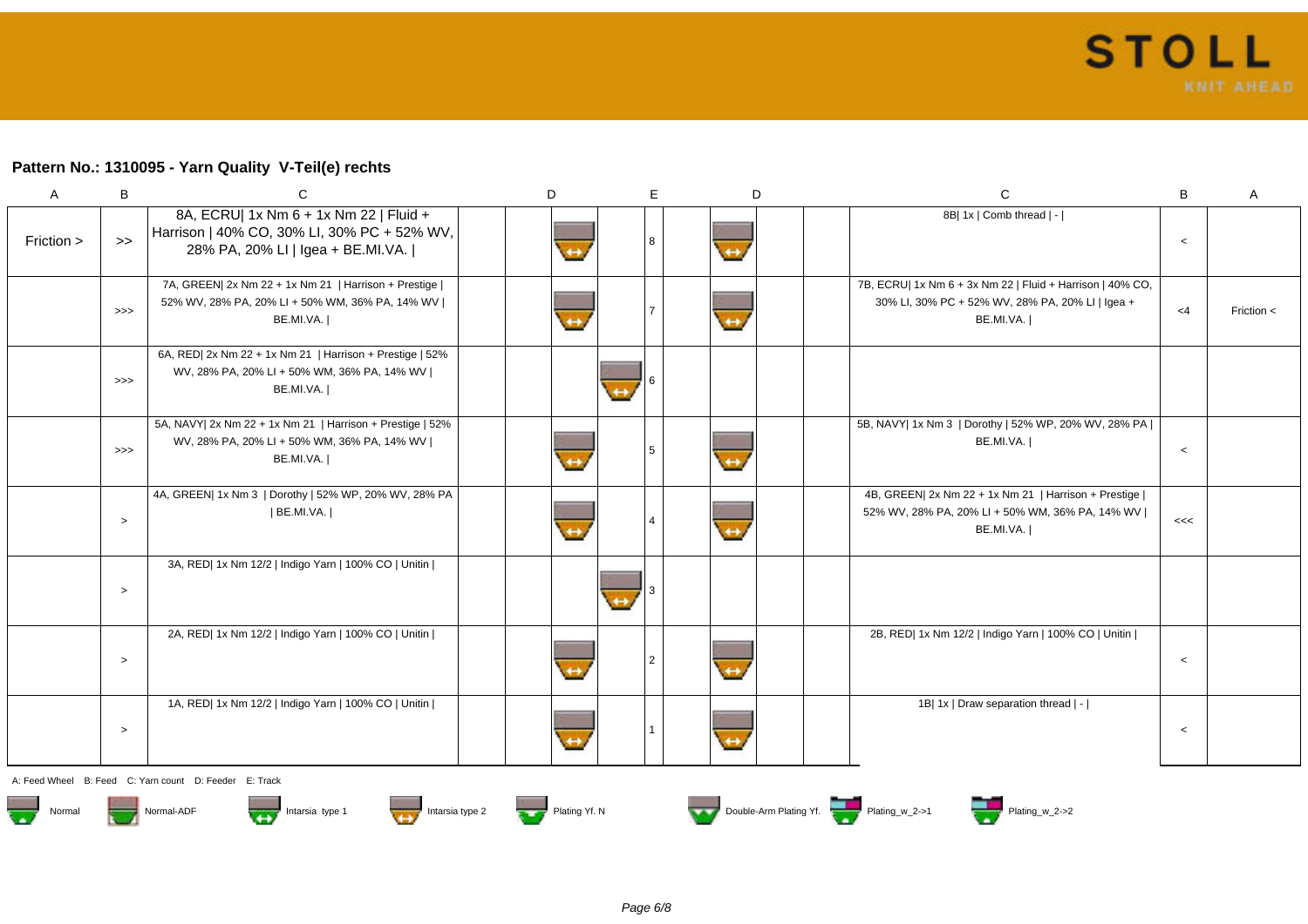### **Pattern No.: 1310095 - Yarn Quality V-Teil(e) rechts**

| Α          | B             | C                                                                                                                          | D | E             | D                 | $\mathsf{C}$                                                                                                               | B     | A              |
|------------|---------------|----------------------------------------------------------------------------------------------------------------------------|---|---------------|-------------------|----------------------------------------------------------------------------------------------------------------------------|-------|----------------|
| Friction > | $\rightarrow$ | 8A, ECRU  1x Nm 6 + 1x Nm 22   Fluid +<br>Harrison   40% CO, 30% LI, 30% PC + 52% WV,<br>28% PA, 20% LI   Igea + BE.MI.VA. |   |               | $\leftrightarrow$ | 8B  1x   Comb thread   -                                                                                                   | $\,<$ |                |
|            | $>>>$         | 7A, GREEN  2x Nm 22 + 1x Nm 21   Harrison + Prestige  <br>52% WV, 28% PA, 20% LI + 50% WM, 36% PA, 14% WV  <br>BE.MI.VA.   |   |               | $\leftrightarrow$ | 7B, ECRU  1x Nm 6 + 3x Nm 22   Fluid + Harrison   40% CO,<br>30% LI, 30% PC + 52% WV, 28% PA, 20% LI   Igea +<br>BE.MI.VA. | $<$ 4 | Friction $\lt$ |
|            | >>            | 6A, RED  2x Nm 22 + 1x Nm 21   Harrison + Prestige   52%<br>WV, 28% PA, 20% LI + 50% WM, 36% PA, 14% WV  <br>BE.MI.VA.     |   |               |                   |                                                                                                                            |       |                |
|            | >>            | 5A, NAVY  2x Nm 22 + 1x Nm 21   Harrison + Prestige   52%<br>WV, 28% PA, 20% LI + 50% WM, 36% PA, 14% WV  <br>BE.MI.VA.    |   |               | $\leftrightarrow$ | 5B, NAVY  1x Nm 3   Dorothy   52% WP, 20% WV, 28% PA  <br>BE.MI.VA.                                                        | $\,<$ |                |
|            | $\geq$        | 4A, GREEN  1x Nm 3   Dorothy   52% WP, 20% WV, 28% PA<br>  BE.MI.VA.                                                       |   |               | $\leftrightarrow$ | 4B, GREEN  2x Nm 22 + 1x Nm 21   Harrison + Prestige  <br>52% WV, 28% PA, 20% LI + 50% WM, 36% PA, 14% WV  <br>BE.MI.VA.   | <<    |                |
|            | $\,>$         | 3A, RED  1x Nm 12/2   Indigo Yarn   100% CO   Unitin                                                                       |   |               |                   |                                                                                                                            |       |                |
|            | $\geq$        | 2A, RED  1x Nm 12/2   Indigo Yarn   100% CO   Unitin                                                                       |   | $\mathcal{P}$ |                   | 2B, RED  1x Nm 12/2   Indigo Yarn   100% CO   Unitin                                                                       | $\,<$ |                |
|            | $\,>$         | 1A, RED  1x Nm 12/2   Indigo Yarn   100% CO   Unitin                                                                       |   |               | $\leftrightarrow$ | 1B  1x   Draw separation thread   -                                                                                        | $\,<$ |                |
|            |               |                                                                                                                            |   |               |                   |                                                                                                                            |       |                |

A: Feed Wheel B: Feed C: Yarn count D: Feeder E: Track











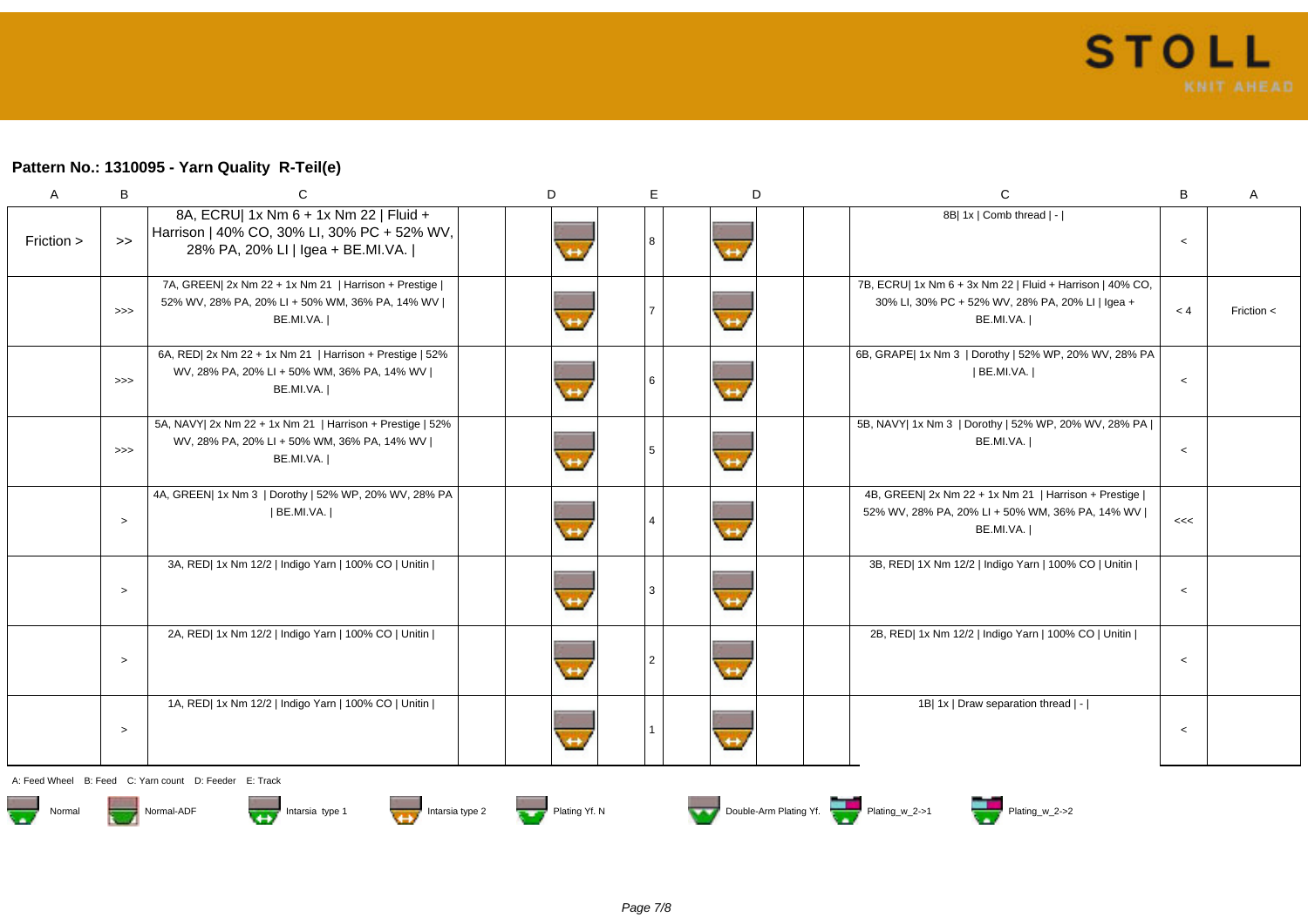### **Pattern No.: 1310095 - Yarn Quality R-Teil(e)**

| A          | B             | С                                                                                                                          | D | E. | D                 | $\mathsf{C}$                                                                                                               | B       | $\mathsf{A}$ |
|------------|---------------|----------------------------------------------------------------------------------------------------------------------------|---|----|-------------------|----------------------------------------------------------------------------------------------------------------------------|---------|--------------|
| Friction > | $\rightarrow$ | 8A, ECRU  1x Nm 6 + 1x Nm 22   Fluid +<br>Harrison   40% CO, 30% LI, 30% PC + 52% WV,<br>28% PA, 20% LI   Igea + BE.MI.VA. |   |    | $\leftrightarrow$ | 8B  1x   Comb thread   -                                                                                                   | $\,<$   |              |
|            | >>            | 7A, GREEN  2x Nm 22 + 1x Nm 21   Harrison + Prestige  <br>52% WV, 28% PA, 20% LI + 50% WM, 36% PA, 14% WV  <br>BE.MI.VA.   |   |    |                   | 7B, ECRU  1x Nm 6 + 3x Nm 22   Fluid + Harrison   40% CO,<br>30% LI, 30% PC + 52% WV, 28% PA, 20% LI   Igea +<br>BE.MI.VA. | < 4     | Friction <   |
|            | >>            | 6A, RED  2x Nm 22 + 1x Nm 21   Harrison + Prestige   52%<br>WV, 28% PA, 20% LI + 50% WM, 36% PA, 14% WV  <br>BE.MI.VA.     |   |    |                   | 6B, GRAPE  1x Nm 3   Dorothy   52% WP, 20% WV, 28% PA<br>  BE.MI.VA.                                                       | $\,<$   |              |
|            | >>            | 5A, NAVY  2x Nm 22 + 1x Nm 21   Harrison + Prestige   52%<br>WV, 28% PA, 20% LI + 50% WM, 36% PA, 14% WV  <br>BE.MI.VA.    |   |    |                   | 5B, NAVY  1x Nm 3   Dorothy   52% WP, 20% WV, 28% PA  <br>BE.MI.VA.                                                        | $\,<$   |              |
|            | $\,>$         | 4A, GREEN  1x Nm 3   Dorothy   52% WP, 20% WV, 28% PA<br>  BE.MI.VA.                                                       |   |    | $\leftrightarrow$ | 4B, GREEN  2x Nm 22 + 1x Nm 21   Harrison + Prestige  <br>52% WV, 28% PA, 20% LI + 50% WM, 36% PA, 14% WV  <br>BE.MI.VA.   | <<      |              |
|            | $\,>$         | 3A, RED  1x Nm 12/2   Indigo Yarn   100% CO   Unitin                                                                       |   |    |                   | 3B, RED  1X Nm 12/2   Indigo Yarn   100% CO   Unitin                                                                       | $\,<\,$ |              |
|            | $\,>$         | 2A, RED  1x Nm 12/2   Indigo Yarn   100% CO   Unitin                                                                       |   |    |                   | 2B, RED  1x Nm 12/2   Indigo Yarn   100% CO   Unitin                                                                       | $\,<\,$ |              |
|            | $\geq$        | 1A, RED  1x Nm 12/2   Indigo Yarn   100% CO   Unitin                                                                       |   |    |                   | 1B  1x   Draw separation thread   -                                                                                        | $\,<$   |              |

A: Feed Wheel B: Feed C: Yarn count D: Feeder E: Track